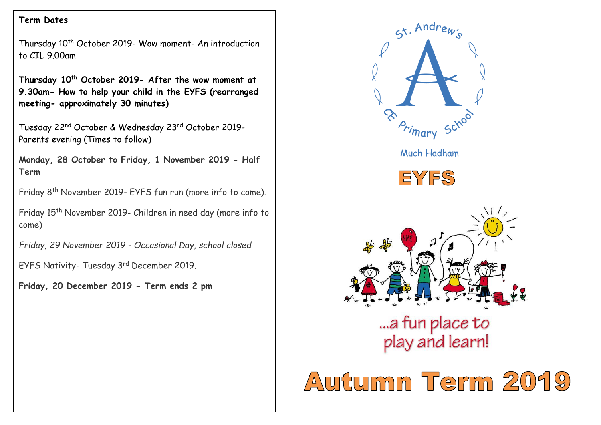# **Term Dates**

Thursday 10<sup>th</sup> October 2019- Wow moment- An introduction to CIL 9.00am

**Thursday 10th October 2019- After the wow moment at 9.30am- How to help your child in the EYFS (rearranged meeting- approximately 30 minutes)** 

9 Tuesday 22nd October & Wednesday 23rd October 2019- Parents evening (Times to follow)

**Monday, 28 October to Friday, 1 November 2019 - Half Term**

Friday 8th November 2019- EYFS fun run (more info to come).

Friday 15th November 2019- Children in need day (more info to come)

*Friday, 29 November 2019 - Occasional Day, school closed*

EYFS Nativity- Tuesday 3rd December 2019.

**Friday, 20 December 2019 - Term ends 2 pm**